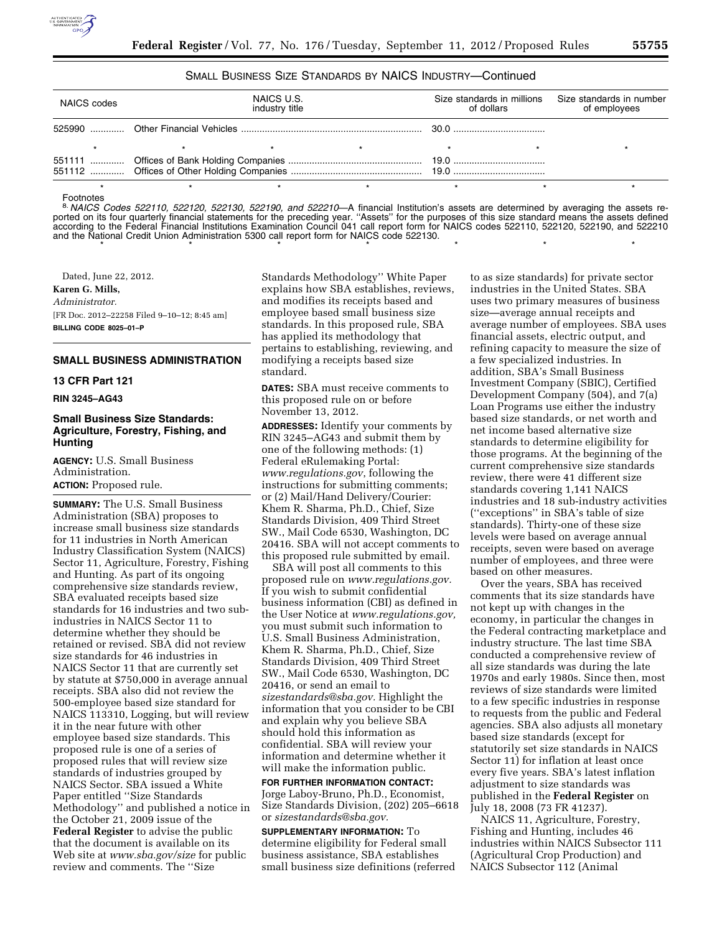

## SMALL BUSINESS SIZE STANDARDS BY NAICS INDUSTRY—Continued

| NAICS U.S.<br>NAICS codes<br>industry title |  | of dollars | Size standards in millions Size standards in number<br>of employees |  |
|---------------------------------------------|--|------------|---------------------------------------------------------------------|--|
|                                             |  |            |                                                                     |  |
|                                             |  |            |                                                                     |  |
|                                             |  |            |                                                                     |  |
|                                             |  |            |                                                                     |  |

#### Footnotes

8. *NAICS Codes 522110, 522120, 522130, 522190, and 522210*—A financial Institution's assets are determined by averaging the assets reported on its four quarterly financial statements for the preceding year. ''Assets'' for the purposes of this size standard means the assets defined according to the Federal Financial Institutions Examination Council 041 call report form for NAICS codes 522110, 522120, 522190, and 522210 and the National Credit Union Administration 5300 call report form for NAICS code 522130. \*\*\*\*\*\*\*

Dated, June 22, 2012. **Karen G. Mills,**  *Administrator.*  [FR Doc. 2012–22258 Filed 9–10–12; 8:45 am] **BILLING CODE 8025–01–P** 

## **SMALL BUSINESS ADMINISTRATION**

#### **13 CFR Part 121**

#### **RIN 3245–AG43**

# **Small Business Size Standards: Agriculture, Forestry, Fishing, and Hunting**

**AGENCY:** U.S. Small Business Administration. **ACTION:** Proposed rule.

**SUMMARY:** The U.S. Small Business Administration (SBA) proposes to increase small business size standards for 11 industries in North American Industry Classification System (NAICS) Sector 11, Agriculture, Forestry, Fishing and Hunting. As part of its ongoing comprehensive size standards review, SBA evaluated receipts based size standards for 16 industries and two subindustries in NAICS Sector 11 to determine whether they should be retained or revised. SBA did not review size standards for 46 industries in NAICS Sector 11 that are currently set by statute at \$750,000 in average annual receipts. SBA also did not review the 500-employee based size standard for NAICS 113310, Logging, but will review it in the near future with other employee based size standards. This proposed rule is one of a series of proposed rules that will review size standards of industries grouped by NAICS Sector. SBA issued a White Paper entitled ''Size Standards Methodology'' and published a notice in the October 21, 2009 issue of the **Federal Register** to advise the public that the document is available on its Web site at *[www.sba.gov/size](http://www.sba.gov/size)* for public review and comments. The ''Size

Standards Methodology'' White Paper explains how SBA establishes, reviews, and modifies its receipts based and employee based small business size standards. In this proposed rule, SBA has applied its methodology that pertains to establishing, reviewing, and modifying a receipts based size standard.

**DATES:** SBA must receive comments to this proposed rule on or before November 13, 2012.

**ADDRESSES:** Identify your comments by RIN 3245–AG43 and submit them by one of the following methods: (1) Federal eRulemaking Portal: *[www.regulations.gov](http://www.regulations.gov)*, following the instructions for submitting comments; or (2) Mail/Hand Delivery/Courier: Khem R. Sharma, Ph.D., Chief, Size Standards Division, 409 Third Street SW., Mail Code 6530, Washington, DC 20416. SBA will not accept comments to this proposed rule submitted by email.

SBA will post all comments to this proposed rule on *[www.regulations.gov.](http://www.regulations.gov)*  If you wish to submit confidential business information (CBI) as defined in the User Notice at *[www.regulations.gov,](http://www.regulations.gov)*  you must submit such information to U.S. Small Business Administration, Khem R. Sharma, Ph.D., Chief, Size Standards Division, 409 Third Street SW., Mail Code 6530, Washington, DC 20416, or send an email to *[sizestandards@sba.gov.](mailto:sizestandards@sba.gov)* Highlight the information that you consider to be CBI and explain why you believe SBA should hold this information as confidential. SBA will review your information and determine whether it will make the information public.

**FOR FURTHER INFORMATION CONTACT:**  Jorge Laboy-Bruno, Ph.D., Economist, Size Standards Division, (202) 205–6618 or *[sizestandards@sba.gov.](mailto:sizestandards@sba.gov)* 

**SUPPLEMENTARY INFORMATION:** To determine eligibility for Federal small business assistance, SBA establishes small business size definitions (referred

to as size standards) for private sector industries in the United States. SBA uses two primary measures of business size—average annual receipts and average number of employees. SBA uses financial assets, electric output, and refining capacity to measure the size of a few specialized industries. In addition, SBA's Small Business Investment Company (SBIC), Certified Development Company (504), and 7(a) Loan Programs use either the industry based size standards, or net worth and net income based alternative size standards to determine eligibility for those programs. At the beginning of the current comprehensive size standards review, there were 41 different size standards covering 1,141 NAICS industries and 18 sub-industry activities (''exceptions'' in SBA's table of size standards). Thirty-one of these size levels were based on average annual receipts, seven were based on average number of employees, and three were based on other measures.

Over the years, SBA has received comments that its size standards have not kept up with changes in the economy, in particular the changes in the Federal contracting marketplace and industry structure. The last time SBA conducted a comprehensive review of all size standards was during the late 1970s and early 1980s. Since then, most reviews of size standards were limited to a few specific industries in response to requests from the public and Federal agencies. SBA also adjusts all monetary based size standards (except for statutorily set size standards in NAICS Sector 11) for inflation at least once every five years. SBA's latest inflation adjustment to size standards was published in the **Federal Register** on July 18, 2008 (73 FR 41237).

NAICS 11, Agriculture, Forestry, Fishing and Hunting, includes 46 industries within NAICS Subsector 111 (Agricultural Crop Production) and NAICS Subsector 112 (Animal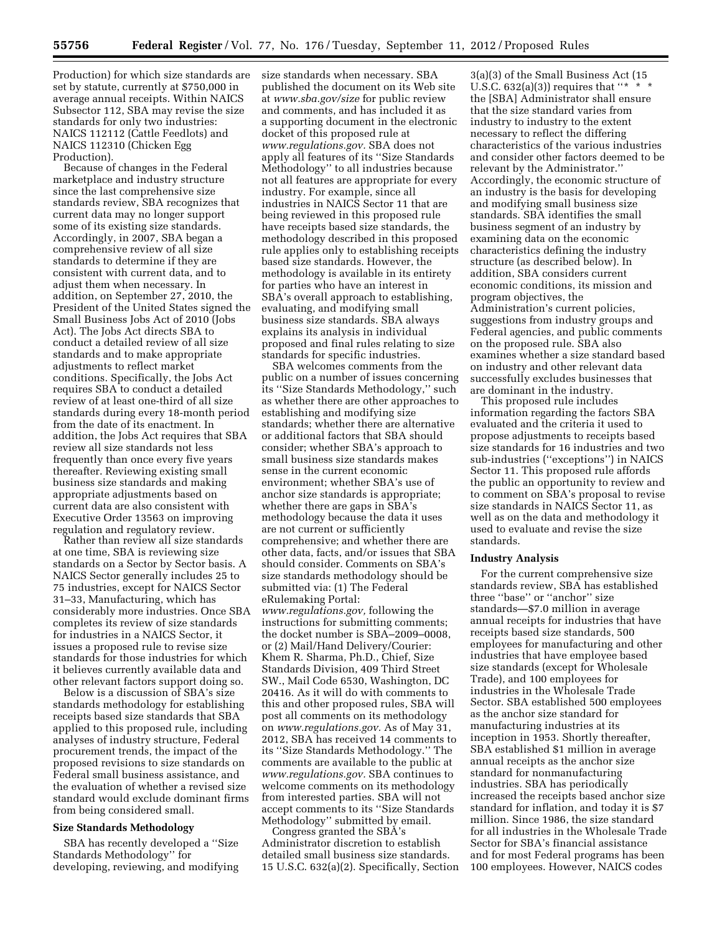Production) for which size standards are set by statute, currently at \$750,000 in average annual receipts. Within NAICS Subsector 112, SBA may revise the size standards for only two industries: NAICS 112112 (Cattle Feedlots) and

NAICS 112310 (Chicken Egg Production).

Because of changes in the Federal marketplace and industry structure since the last comprehensive size standards review, SBA recognizes that current data may no longer support some of its existing size standards. Accordingly, in 2007, SBA began a comprehensive review of all size standards to determine if they are consistent with current data, and to adjust them when necessary. In addition, on September 27, 2010, the President of the United States signed the Small Business Jobs Act of 2010 (Jobs Act). The Jobs Act directs SBA to conduct a detailed review of all size standards and to make appropriate adjustments to reflect market conditions. Specifically, the Jobs Act requires SBA to conduct a detailed review of at least one-third of all size standards during every 18-month period from the date of its enactment. In addition, the Jobs Act requires that SBA review all size standards not less frequently than once every five years thereafter. Reviewing existing small business size standards and making appropriate adjustments based on current data are also consistent with Executive Order 13563 on improving regulation and regulatory review.

Rather than review all size standards at one time, SBA is reviewing size standards on a Sector by Sector basis. A NAICS Sector generally includes 25 to 75 industries, except for NAICS Sector 31–33, Manufacturing, which has considerably more industries. Once SBA completes its review of size standards for industries in a NAICS Sector, it issues a proposed rule to revise size standards for those industries for which it believes currently available data and other relevant factors support doing so.

Below is a discussion of SBA's size standards methodology for establishing receipts based size standards that SBA applied to this proposed rule, including analyses of industry structure, Federal procurement trends, the impact of the proposed revisions to size standards on Federal small business assistance, and the evaluation of whether a revised size standard would exclude dominant firms from being considered small.

# **Size Standards Methodology**

SBA has recently developed a ''Size Standards Methodology'' for developing, reviewing, and modifying

size standards when necessary. SBA published the document on its Web site at *[www.sba.gov/size](http://www.sba.gov/size)* for public review and comments, and has included it as a supporting document in the electronic docket of this proposed rule at *[www.regulations.gov.](http://www.regulations.gov)* SBA does not apply all features of its ''Size Standards Methodology'' to all industries because not all features are appropriate for every industry. For example, since all industries in NAICS Sector 11 that are being reviewed in this proposed rule have receipts based size standards, the methodology described in this proposed rule applies only to establishing receipts based size standards. However, the methodology is available in its entirety for parties who have an interest in SBA's overall approach to establishing, evaluating, and modifying small business size standards. SBA always explains its analysis in individual proposed and final rules relating to size standards for specific industries.

SBA welcomes comments from the public on a number of issues concerning its ''Size Standards Methodology,'' such as whether there are other approaches to establishing and modifying size standards; whether there are alternative or additional factors that SBA should consider; whether SBA's approach to small business size standards makes sense in the current economic environment; whether SBA's use of anchor size standards is appropriate; whether there are gaps in SBA's methodology because the data it uses are not current or sufficiently comprehensive; and whether there are other data, facts, and/or issues that SBA should consider. Comments on SBA's size standards methodology should be submitted via: (1) The Federal eRulemaking Portal: *[www.regulations.gov,](http://www.regulations.gov)* following the instructions for submitting comments; the docket number is SBA–2009–0008, or (2) Mail/Hand Delivery/Courier: Khem R. Sharma, Ph.D., Chief, Size Standards Division, 409 Third Street SW., Mail Code 6530, Washington, DC 20416. As it will do with comments to this and other proposed rules, SBA will post all comments on its methodology on *[www.regulations.gov.](http://www.regulations.gov)* As of May 31, 2012, SBA has received 14 comments to its ''Size Standards Methodology.'' The comments are available to the public at *[www.regulations.gov.](http://www.regulations.gov)* SBA continues to welcome comments on its methodology from interested parties. SBA will not accept comments to its ''Size Standards Methodology'' submitted by email.

Congress granted the SBA's Administrator discretion to establish detailed small business size standards. 15 U.S.C. 632(a)(2). Specifically, Section

3(a)(3) of the Small Business Act (15 U.S.C. 632(a)(3)) requires that "\* \* \* the [SBA] Administrator shall ensure that the size standard varies from industry to industry to the extent necessary to reflect the differing characteristics of the various industries and consider other factors deemed to be relevant by the Administrator.'' Accordingly, the economic structure of an industry is the basis for developing and modifying small business size standards. SBA identifies the small business segment of an industry by examining data on the economic characteristics defining the industry structure (as described below). In addition, SBA considers current economic conditions, its mission and program objectives, the Administration's current policies, suggestions from industry groups and Federal agencies, and public comments on the proposed rule. SBA also examines whether a size standard based on industry and other relevant data successfully excludes businesses that are dominant in the industry.

This proposed rule includes information regarding the factors SBA evaluated and the criteria it used to propose adjustments to receipts based size standards for 16 industries and two sub-industries (''exceptions'') in NAICS Sector 11. This proposed rule affords the public an opportunity to review and to comment on SBA's proposal to revise size standards in NAICS Sector 11, as well as on the data and methodology it used to evaluate and revise the size standards.

### **Industry Analysis**

For the current comprehensive size standards review, SBA has established three ''base'' or ''anchor'' size standards—\$7.0 million in average annual receipts for industries that have receipts based size standards, 500 employees for manufacturing and other industries that have employee based size standards (except for Wholesale Trade), and 100 employees for industries in the Wholesale Trade Sector. SBA established 500 employees as the anchor size standard for manufacturing industries at its inception in 1953. Shortly thereafter, SBA established \$1 million in average annual receipts as the anchor size standard for nonmanufacturing industries. SBA has periodically increased the receipts based anchor size standard for inflation, and today it is \$7 million. Since 1986, the size standard for all industries in the Wholesale Trade Sector for SBA's financial assistance and for most Federal programs has been 100 employees. However, NAICS codes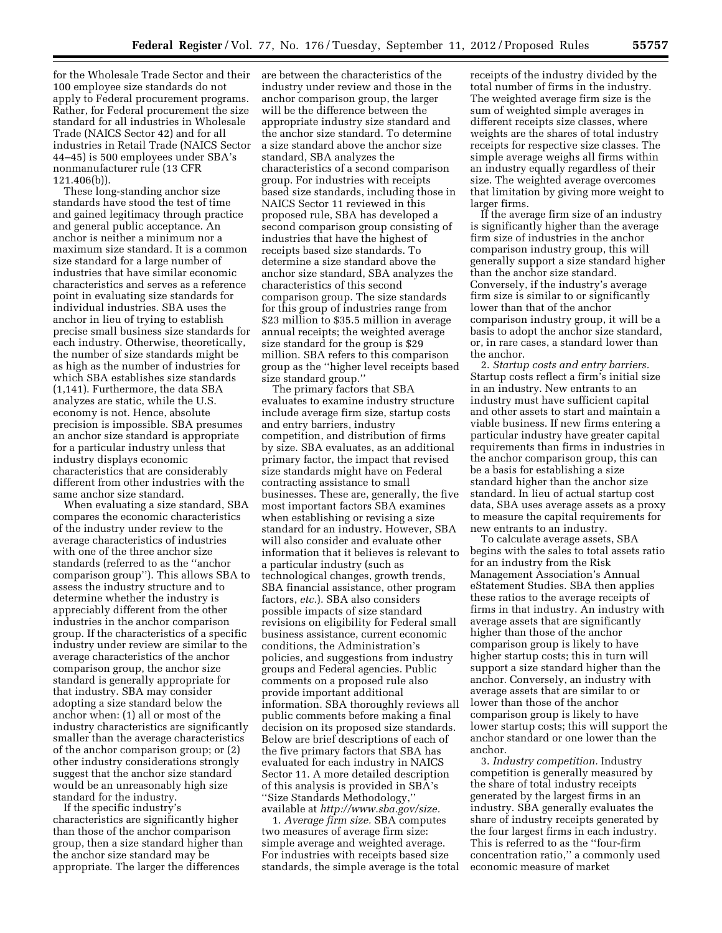for the Wholesale Trade Sector and their 100 employee size standards do not apply to Federal procurement programs. Rather, for Federal procurement the size standard for all industries in Wholesale Trade (NAICS Sector 42) and for all industries in Retail Trade (NAICS Sector 44–45) is 500 employees under SBA's nonmanufacturer rule (13 CFR 121.406(b)).

These long-standing anchor size standards have stood the test of time and gained legitimacy through practice and general public acceptance. An anchor is neither a minimum nor a maximum size standard. It is a common size standard for a large number of industries that have similar economic characteristics and serves as a reference point in evaluating size standards for individual industries. SBA uses the anchor in lieu of trying to establish precise small business size standards for each industry. Otherwise, theoretically, the number of size standards might be as high as the number of industries for which SBA establishes size standards (1,141). Furthermore, the data SBA analyzes are static, while the U.S. economy is not. Hence, absolute precision is impossible. SBA presumes an anchor size standard is appropriate for a particular industry unless that industry displays economic characteristics that are considerably different from other industries with the same anchor size standard.

When evaluating a size standard, SBA compares the economic characteristics of the industry under review to the average characteristics of industries with one of the three anchor size standards (referred to as the ''anchor comparison group''). This allows SBA to assess the industry structure and to determine whether the industry is appreciably different from the other industries in the anchor comparison group. If the characteristics of a specific industry under review are similar to the average characteristics of the anchor comparison group, the anchor size standard is generally appropriate for that industry. SBA may consider adopting a size standard below the anchor when: (1) all or most of the industry characteristics are significantly smaller than the average characteristics of the anchor comparison group; or (2) other industry considerations strongly suggest that the anchor size standard would be an unreasonably high size standard for the industry.

If the specific industry's characteristics are significantly higher than those of the anchor comparison group, then a size standard higher than the anchor size standard may be appropriate. The larger the differences

are between the characteristics of the industry under review and those in the anchor comparison group, the larger will be the difference between the appropriate industry size standard and the anchor size standard. To determine a size standard above the anchor size standard, SBA analyzes the characteristics of a second comparison group. For industries with receipts based size standards, including those in NAICS Sector 11 reviewed in this proposed rule, SBA has developed a second comparison group consisting of industries that have the highest of receipts based size standards. To determine a size standard above the anchor size standard, SBA analyzes the characteristics of this second comparison group. The size standards for this group of industries range from \$23 million to \$35.5 million in average annual receipts; the weighted average size standard for the group is \$29 million. SBA refers to this comparison group as the ''higher level receipts based size standard group.''

The primary factors that SBA evaluates to examine industry structure include average firm size, startup costs and entry barriers, industry competition, and distribution of firms by size. SBA evaluates, as an additional primary factor, the impact that revised size standards might have on Federal contracting assistance to small businesses. These are, generally, the five most important factors SBA examines when establishing or revising a size standard for an industry. However, SBA will also consider and evaluate other information that it believes is relevant to a particular industry (such as technological changes, growth trends, SBA financial assistance, other program factors, *etc.*). SBA also considers possible impacts of size standard revisions on eligibility for Federal small business assistance, current economic conditions, the Administration's policies, and suggestions from industry groups and Federal agencies. Public comments on a proposed rule also provide important additional information. SBA thoroughly reviews all public comments before making a final decision on its proposed size standards. Below are brief descriptions of each of the five primary factors that SBA has evaluated for each industry in NAICS Sector 11. A more detailed description of this analysis is provided in SBA's ''Size Standards Methodology,'' available at *[http://www.sba.gov/size.](http://www.sba.gov/size)* 

1. *Average firm size.* SBA computes two measures of average firm size: simple average and weighted average. For industries with receipts based size standards, the simple average is the total receipts of the industry divided by the total number of firms in the industry. The weighted average firm size is the sum of weighted simple averages in different receipts size classes, where weights are the shares of total industry receipts for respective size classes. The simple average weighs all firms within an industry equally regardless of their size. The weighted average overcomes that limitation by giving more weight to larger firms.

If the average firm size of an industry is significantly higher than the average firm size of industries in the anchor comparison industry group, this will generally support a size standard higher than the anchor size standard. Conversely, if the industry's average firm size is similar to or significantly lower than that of the anchor comparison industry group, it will be a basis to adopt the anchor size standard, or, in rare cases, a standard lower than the anchor.

2. *Startup costs and entry barriers.*  Startup costs reflect a firm's initial size in an industry. New entrants to an industry must have sufficient capital and other assets to start and maintain a viable business. If new firms entering a particular industry have greater capital requirements than firms in industries in the anchor comparison group, this can be a basis for establishing a size standard higher than the anchor size standard. In lieu of actual startup cost data, SBA uses average assets as a proxy to measure the capital requirements for new entrants to an industry.

To calculate average assets, SBA begins with the sales to total assets ratio for an industry from the Risk Management Association's Annual eStatement Studies. SBA then applies these ratios to the average receipts of firms in that industry. An industry with average assets that are significantly higher than those of the anchor comparison group is likely to have higher startup costs; this in turn will support a size standard higher than the anchor. Conversely, an industry with average assets that are similar to or lower than those of the anchor comparison group is likely to have lower startup costs; this will support the anchor standard or one lower than the anchor.

3. *Industry competition.* Industry competition is generally measured by the share of total industry receipts generated by the largest firms in an industry. SBA generally evaluates the share of industry receipts generated by the four largest firms in each industry. This is referred to as the ''four-firm concentration ratio,'' a commonly used economic measure of market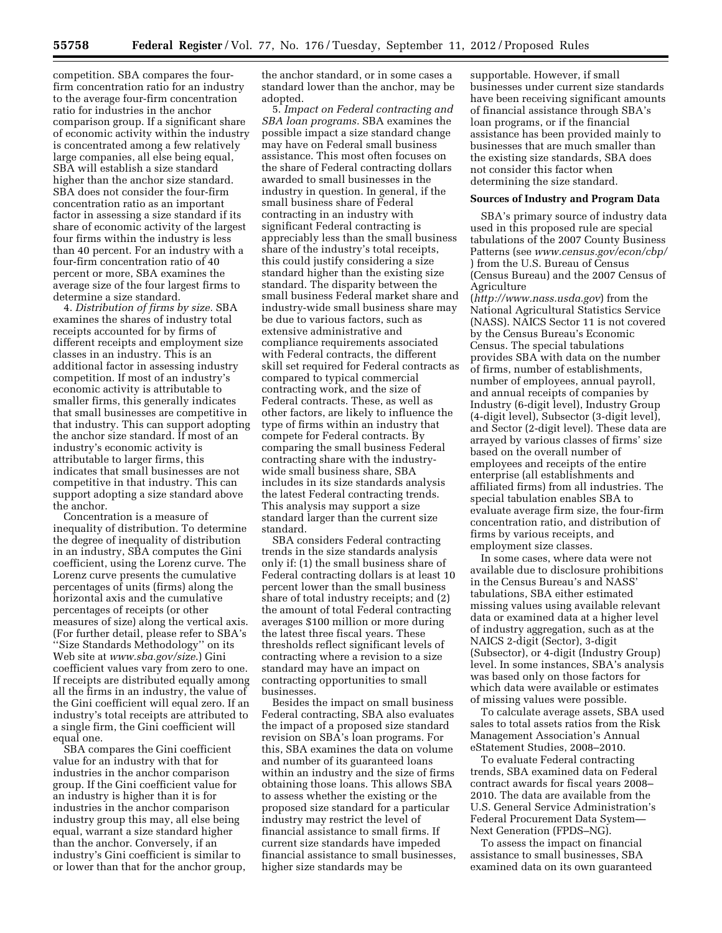competition. SBA compares the fourfirm concentration ratio for an industry to the average four-firm concentration ratio for industries in the anchor comparison group. If a significant share of economic activity within the industry is concentrated among a few relatively large companies, all else being equal, SBA will establish a size standard higher than the anchor size standard. SBA does not consider the four-firm concentration ratio as an important factor in assessing a size standard if its share of economic activity of the largest four firms within the industry is less than 40 percent. For an industry with a four-firm concentration ratio of 40 percent or more, SBA examines the average size of the four largest firms to determine a size standard.

4. *Distribution of firms by size.* SBA examines the shares of industry total receipts accounted for by firms of different receipts and employment size classes in an industry. This is an additional factor in assessing industry competition. If most of an industry's economic activity is attributable to smaller firms, this generally indicates that small businesses are competitive in that industry. This can support adopting the anchor size standard. If most of an industry's economic activity is attributable to larger firms, this indicates that small businesses are not competitive in that industry. This can support adopting a size standard above the anchor.

Concentration is a measure of inequality of distribution. To determine the degree of inequality of distribution in an industry, SBA computes the Gini coefficient, using the Lorenz curve. The Lorenz curve presents the cumulative percentages of units (firms) along the horizontal axis and the cumulative percentages of receipts (or other measures of size) along the vertical axis. (For further detail, please refer to SBA's ''Size Standards Methodology'' on its Web site at *[www.sba.gov/size](http://www.sba.gov/size)*.) Gini coefficient values vary from zero to one. If receipts are distributed equally among all the firms in an industry, the value of the Gini coefficient will equal zero. If an industry's total receipts are attributed to a single firm, the Gini coefficient will equal one.

SBA compares the Gini coefficient value for an industry with that for industries in the anchor comparison group. If the Gini coefficient value for an industry is higher than it is for industries in the anchor comparison industry group this may, all else being equal, warrant a size standard higher than the anchor. Conversely, if an industry's Gini coefficient is similar to or lower than that for the anchor group,

the anchor standard, or in some cases a standard lower than the anchor, may be adopted.

5. *Impact on Federal contracting and SBA loan programs.* SBA examines the possible impact a size standard change may have on Federal small business assistance. This most often focuses on the share of Federal contracting dollars awarded to small businesses in the industry in question. In general, if the small business share of Federal contracting in an industry with significant Federal contracting is appreciably less than the small business share of the industry's total receipts, this could justify considering a size standard higher than the existing size standard. The disparity between the small business Federal market share and industry-wide small business share may be due to various factors, such as extensive administrative and compliance requirements associated with Federal contracts, the different skill set required for Federal contracts as compared to typical commercial contracting work, and the size of Federal contracts. These, as well as other factors, are likely to influence the type of firms within an industry that compete for Federal contracts. By comparing the small business Federal contracting share with the industrywide small business share, SBA includes in its size standards analysis the latest Federal contracting trends. This analysis may support a size standard larger than the current size standard.

SBA considers Federal contracting trends in the size standards analysis only if: (1) the small business share of Federal contracting dollars is at least 10 percent lower than the small business share of total industry receipts; and (2) the amount of total Federal contracting averages \$100 million or more during the latest three fiscal years. These thresholds reflect significant levels of contracting where a revision to a size standard may have an impact on contracting opportunities to small businesses.

Besides the impact on small business Federal contracting, SBA also evaluates the impact of a proposed size standard revision on SBA's loan programs. For this, SBA examines the data on volume and number of its guaranteed loans within an industry and the size of firms obtaining those loans. This allows SBA to assess whether the existing or the proposed size standard for a particular industry may restrict the level of financial assistance to small firms. If current size standards have impeded financial assistance to small businesses, higher size standards may be

supportable. However, if small businesses under current size standards have been receiving significant amounts of financial assistance through SBA's loan programs, or if the financial assistance has been provided mainly to businesses that are much smaller than the existing size standards, SBA does not consider this factor when determining the size standard.

#### **Sources of Industry and Program Data**

SBA's primary source of industry data used in this proposed rule are special tabulations of the 2007 County Business Patterns (see *[www.census.gov/econ/cbp/](http://www.census.gov/econ/cbp/)*  ) from the U.S. Bureau of Census (Census Bureau) and the 2007 Census of Agriculture

(*<http://www.nass.usda.gov>*) from the National Agricultural Statistics Service (NASS). NAICS Sector 11 is not covered by the Census Bureau's Economic Census. The special tabulations provides SBA with data on the number of firms, number of establishments, number of employees, annual payroll, and annual receipts of companies by Industry (6-digit level), Industry Group (4-digit level), Subsector (3-digit level), and Sector (2-digit level). These data are arrayed by various classes of firms' size based on the overall number of employees and receipts of the entire enterprise (all establishments and affiliated firms) from all industries. The special tabulation enables SBA to evaluate average firm size, the four-firm concentration ratio, and distribution of firms by various receipts, and employment size classes.

In some cases, where data were not available due to disclosure prohibitions in the Census Bureau's and NASS' tabulations, SBA either estimated missing values using available relevant data or examined data at a higher level of industry aggregation, such as at the NAICS 2-digit (Sector), 3-digit (Subsector), or 4-digit (Industry Group) level. In some instances, SBA's analysis was based only on those factors for which data were available or estimates of missing values were possible.

To calculate average assets, SBA used sales to total assets ratios from the Risk Management Association's Annual eStatement Studies, 2008–2010.

To evaluate Federal contracting trends, SBA examined data on Federal contract awards for fiscal years 2008– 2010. The data are available from the U.S. General Service Administration's Federal Procurement Data System— Next Generation (FPDS–NG).

To assess the impact on financial assistance to small businesses, SBA examined data on its own guaranteed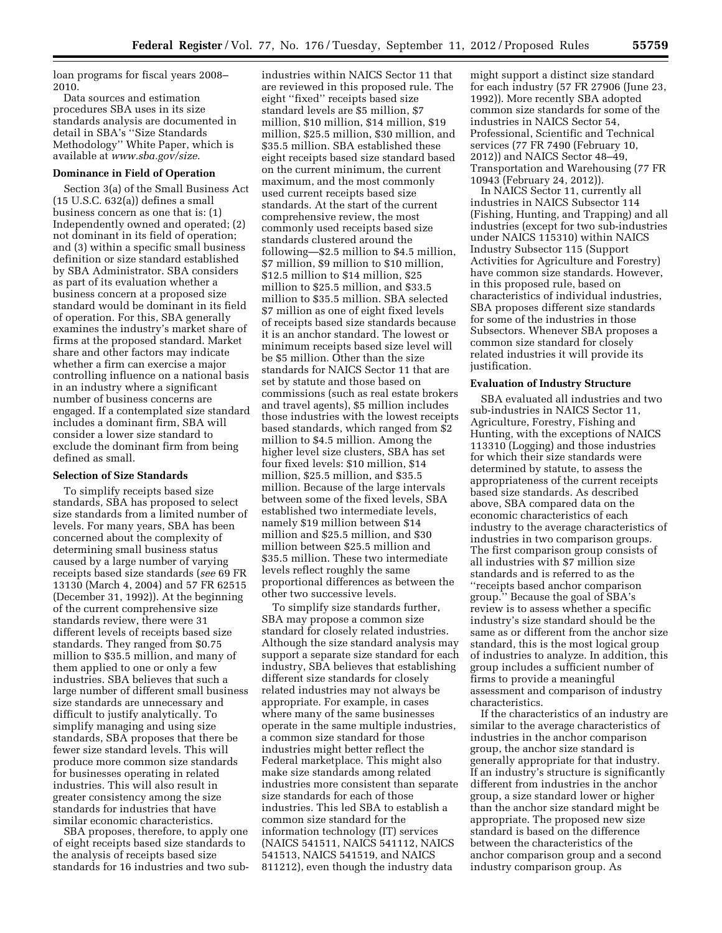loan programs for fiscal years 2008– 2010.

Data sources and estimation procedures SBA uses in its size standards analysis are documented in detail in SBA's ''Size Standards Methodology'' White Paper, which is available at *[www.sba.gov/size](http://www.sba.gov/size)*.

## **Dominance in Field of Operation**

Section 3(a) of the Small Business Act (15 U.S.C. 632(a)) defines a small business concern as one that is: (1) Independently owned and operated; (2) not dominant in its field of operation; and (3) within a specific small business definition or size standard established by SBA Administrator. SBA considers as part of its evaluation whether a business concern at a proposed size standard would be dominant in its field of operation. For this, SBA generally examines the industry's market share of firms at the proposed standard. Market share and other factors may indicate whether a firm can exercise a major controlling influence on a national basis in an industry where a significant number of business concerns are engaged. If a contemplated size standard includes a dominant firm, SBA will consider a lower size standard to exclude the dominant firm from being defined as small.

#### **Selection of Size Standards**

To simplify receipts based size standards, SBA has proposed to select size standards from a limited number of levels. For many years, SBA has been concerned about the complexity of determining small business status caused by a large number of varying receipts based size standards (*see* 69 FR 13130 (March 4, 2004) and 57 FR 62515 (December 31, 1992)). At the beginning of the current comprehensive size standards review, there were 31 different levels of receipts based size standards. They ranged from \$0.75 million to \$35.5 million, and many of them applied to one or only a few industries. SBA believes that such a large number of different small business size standards are unnecessary and difficult to justify analytically. To simplify managing and using size standards, SBA proposes that there be fewer size standard levels. This will produce more common size standards for businesses operating in related industries. This will also result in greater consistency among the size standards for industries that have similar economic characteristics.

SBA proposes, therefore, to apply one of eight receipts based size standards to the analysis of receipts based size standards for 16 industries and two sub-

industries within NAICS Sector 11 that are reviewed in this proposed rule. The eight ''fixed'' receipts based size standard levels are \$5 million, \$7 million, \$10 million, \$14 million, \$19 million, \$25.5 million, \$30 million, and \$35.5 million. SBA established these eight receipts based size standard based on the current minimum, the current maximum, and the most commonly used current receipts based size standards. At the start of the current comprehensive review, the most commonly used receipts based size standards clustered around the following—\$2.5 million to \$4.5 million, \$7 million, \$9 million to \$10 million, \$12.5 million to \$14 million, \$25 million to \$25.5 million, and \$33.5 million to \$35.5 million. SBA selected \$7 million as one of eight fixed levels of receipts based size standards because it is an anchor standard. The lowest or minimum receipts based size level will be \$5 million. Other than the size standards for NAICS Sector 11 that are set by statute and those based on commissions (such as real estate brokers and travel agents), \$5 million includes those industries with the lowest receipts based standards, which ranged from \$2 million to \$4.5 million. Among the higher level size clusters, SBA has set four fixed levels: \$10 million, \$14 million, \$25.5 million, and \$35.5 million. Because of the large intervals between some of the fixed levels, SBA established two intermediate levels, namely \$19 million between \$14 million and \$25.5 million, and \$30 million between \$25.5 million and \$35.5 million. These two intermediate levels reflect roughly the same proportional differences as between the other two successive levels.

To simplify size standards further, SBA may propose a common size standard for closely related industries. Although the size standard analysis may support a separate size standard for each industry, SBA believes that establishing different size standards for closely related industries may not always be appropriate. For example, in cases where many of the same businesses operate in the same multiple industries, a common size standard for those industries might better reflect the Federal marketplace. This might also make size standards among related industries more consistent than separate size standards for each of those industries. This led SBA to establish a common size standard for the information technology (IT) services (NAICS 541511, NAICS 541112, NAICS 541513, NAICS 541519, and NAICS 811212), even though the industry data

might support a distinct size standard for each industry (57 FR 27906 (June 23, 1992)). More recently SBA adopted common size standards for some of the industries in NAICS Sector 54, Professional, Scientific and Technical services (77 FR 7490 (February 10, 2012)) and NAICS Sector 48–49, Transportation and Warehousing (77 FR 10943 (February 24, 2012)).

In NAICS Sector 11, currently all industries in NAICS Subsector 114 (Fishing, Hunting, and Trapping) and all industries (except for two sub-industries under NAICS 115310) within NAICS Industry Subsector 115 (Support Activities for Agriculture and Forestry) have common size standards. However, in this proposed rule, based on characteristics of individual industries, SBA proposes different size standards for some of the industries in those Subsectors. Whenever SBA proposes a common size standard for closely related industries it will provide its justification.

#### **Evaluation of Industry Structure**

SBA evaluated all industries and two sub-industries in NAICS Sector 11, Agriculture, Forestry, Fishing and Hunting, with the exceptions of NAICS 113310 (Logging) and those industries for which their size standards were determined by statute, to assess the appropriateness of the current receipts based size standards. As described above, SBA compared data on the economic characteristics of each industry to the average characteristics of industries in two comparison groups. The first comparison group consists of all industries with \$7 million size standards and is referred to as the ''receipts based anchor comparison group.'' Because the goal of SBA's review is to assess whether a specific industry's size standard should be the same as or different from the anchor size standard, this is the most logical group of industries to analyze. In addition, this group includes a sufficient number of firms to provide a meaningful assessment and comparison of industry characteristics.

If the characteristics of an industry are similar to the average characteristics of industries in the anchor comparison group, the anchor size standard is generally appropriate for that industry. If an industry's structure is significantly different from industries in the anchor group, a size standard lower or higher than the anchor size standard might be appropriate. The proposed new size standard is based on the difference between the characteristics of the anchor comparison group and a second industry comparison group. As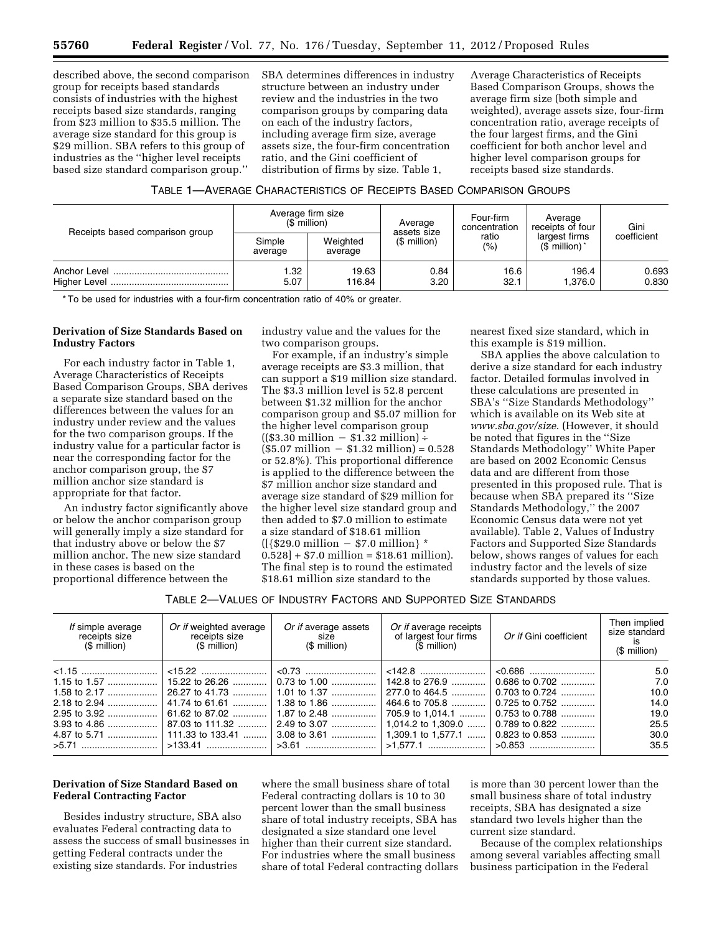described above, the second comparison group for receipts based standards consists of industries with the highest receipts based size standards, ranging from \$23 million to \$35.5 million. The average size standard for this group is \$29 million. SBA refers to this group of industries as the ''higher level receipts based size standard comparison group.''

SBA determines differences in industry structure between an industry under review and the industries in the two comparison groups by comparing data on each of the industry factors, including average firm size, average assets size, the four-firm concentration ratio, and the Gini coefficient of distribution of firms by size. Table 1,

Average Characteristics of Receipts Based Comparison Groups, shows the average firm size (both simple and weighted), average assets size, four-firm concentration ratio, average receipts of the four largest firms, and the Gini coefficient for both anchor level and higher level comparison groups for receipts based size standards.

## TABLE 1—AVERAGE CHARACTERISTICS OF RECEIPTS BASED COMPARISON GROUPS

| Receipts based comparison group | $(S$ million)                                            | Average firm size | Average<br>assets size                  | Four-firm<br>concentration | Average<br>receipts of four | Gini           |
|---------------------------------|----------------------------------------------------------|-------------------|-----------------------------------------|----------------------------|-----------------------------|----------------|
|                                 | Weighted<br>Simple<br>$$$ million)<br>average<br>average | ratio<br>(%)      | largest firms<br>$(S$ million) $\gamma$ | coefficient                |                             |                |
|                                 | .32<br>5.07                                              | 19.63<br>116.84   | 0.84<br>3.20                            | 16.6<br>32.1               | 196.4<br>.376.0             | 0.693<br>0.830 |

\* To be used for industries with a four-firm concentration ratio of 40% or greater.

# **Derivation of Size Standards Based on Industry Factors**

For each industry factor in Table 1, Average Characteristics of Receipts Based Comparison Groups, SBA derives a separate size standard based on the differences between the values for an industry under review and the values for the two comparison groups. If the industry value for a particular factor is near the corresponding factor for the anchor comparison group, the \$7 million anchor size standard is appropriate for that factor.

An industry factor significantly above or below the anchor comparison group will generally imply a size standard for that industry above or below the \$7 million anchor. The new size standard in these cases is based on the proportional difference between the

industry value and the values for the two comparison groups.

For example, if an industry's simple average receipts are \$3.3 million, that can support a \$19 million size standard. The \$3.3 million level is 52.8 percent between \$1.32 million for the anchor comparison group and \$5.07 million for the higher level comparison group  $((\$3.30 \text{ million} - \$1.32 \text{ million}) +$  $($5.07 \text{ million} - $1.32 \text{ million}) = 0.528$ or 52.8%). This proportional difference is applied to the difference between the \$7 million anchor size standard and average size standard of \$29 million for the higher level size standard group and then added to \$7.0 million to estimate a size standard of \$18.61 million  $({\frac{529.0 \text{ million} - $7.0 \text{ million}}*$  $0.528$  + \$7.0 million = \$18.61 million). The final step is to round the estimated \$18.61 million size standard to the

nearest fixed size standard, which in this example is \$19 million.

SBA applies the above calculation to derive a size standard for each industry factor. Detailed formulas involved in these calculations are presented in SBA's ''Size Standards Methodology'' which is available on its Web site at *[www.sba.gov/size](http://www.sba.gov/size)*. (However, it should be noted that figures in the ''Size Standards Methodology'' White Paper are based on 2002 Economic Census data and are different from those presented in this proposed rule. That is because when SBA prepared its ''Size Standards Methodology,'' the 2007 Economic Census data were not yet available). Table 2, Values of Industry Factors and Supported Size Standards below, shows ranges of values for each industry factor and the levels of size standards supported by those values.

TABLE 2—VALUES OF INDUSTRY FACTORS AND SUPPORTED SIZE STANDARDS

| If simple average<br>receipts size<br>(\$ million) | Or if weighted average<br>receipts size<br>(\$ million) | Or if average assets<br>size<br>(\$ million) | Or if average receipts<br>of largest four firms<br>(\$ million) | Or if Gini coefficient | Then implied<br>size standard<br>is<br>$$$ million) |
|----------------------------------------------------|---------------------------------------------------------|----------------------------------------------|-----------------------------------------------------------------|------------------------|-----------------------------------------------------|
|                                                    |                                                         |                                              |                                                                 |                        | 5.0                                                 |
|                                                    |                                                         |                                              |                                                                 | $0.686$ to 0.702       | 7.0                                                 |
| 1.58 to 2.17                                       |                                                         |                                              | 277.0 to 464.5                                                  | 0.703 to 0.724         | 10.0                                                |
|                                                    |                                                         | 1.38 to 1.86                                 | 464.6 to 705.8                                                  | $0.725$ to $0.752$     | 14.0                                                |
|                                                    |                                                         |                                              | 705.9 to 1.014.1                                                | 0.753 to 0.788         | 19.0                                                |
| $3.93$ to 4.86                                     | $\vert$ 87.03 to 111.32                                 |                                              |                                                                 | $0.789$ to $0.822$     | 25.5                                                |
|                                                    |                                                         |                                              |                                                                 | 0.823 to 0.853         | 30.0                                                |
|                                                    |                                                         |                                              | │ >3.61  │>1.577.1  │                                           |                        | 35.5                                                |

# **Derivation of Size Standard Based on Federal Contracting Factor**

Besides industry structure, SBA also evaluates Federal contracting data to assess the success of small businesses in getting Federal contracts under the existing size standards. For industries

where the small business share of total Federal contracting dollars is 10 to 30 percent lower than the small business share of total industry receipts, SBA has designated a size standard one level higher than their current size standard. For industries where the small business share of total Federal contracting dollars

is more than 30 percent lower than the small business share of total industry receipts, SBA has designated a size standard two levels higher than the current size standard.

Because of the complex relationships among several variables affecting small business participation in the Federal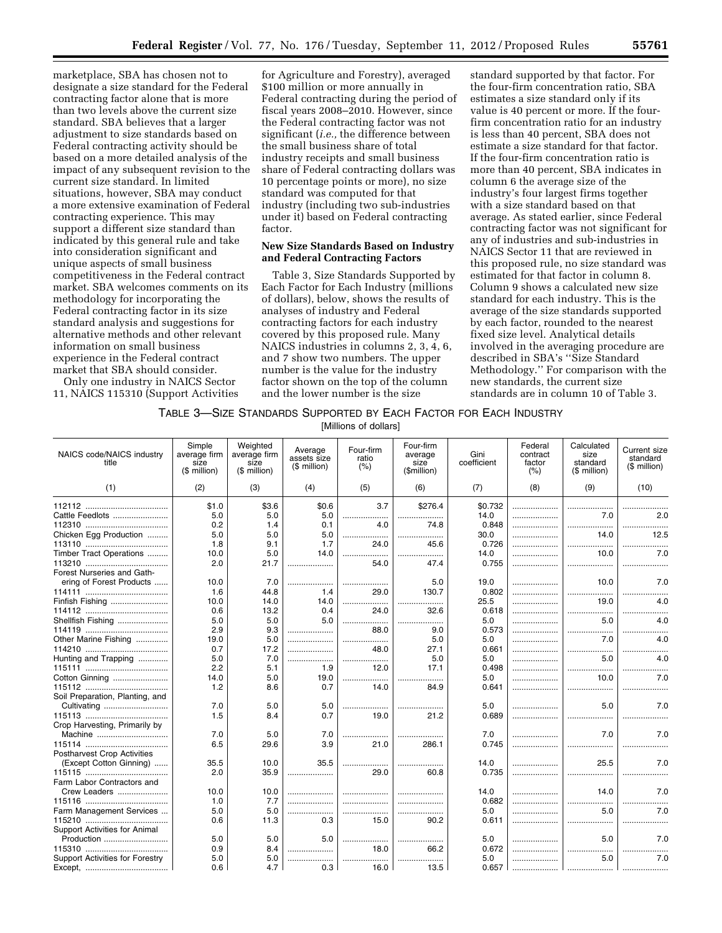marketplace, SBA has chosen not to designate a size standard for the Federal contracting factor alone that is more than two levels above the current size standard. SBA believes that a larger adjustment to size standards based on Federal contracting activity should be based on a more detailed analysis of the impact of any subsequent revision to the current size standard. In limited situations, however, SBA may conduct a more extensive examination of Federal contracting experience. This may support a different size standard than indicated by this general rule and take into consideration significant and unique aspects of small business competitiveness in the Federal contract market. SBA welcomes comments on its methodology for incorporating the Federal contracting factor in its size standard analysis and suggestions for alternative methods and other relevant information on small business experience in the Federal contract market that SBA should consider.

Only one industry in NAICS Sector 11, NAICS 115310 (Support Activities

for Agriculture and Forestry), averaged \$100 million or more annually in Federal contracting during the period of fiscal years 2008–2010. However, since the Federal contracting factor was not significant (*i.e.,* the difference between the small business share of total industry receipts and small business share of Federal contracting dollars was 10 percentage points or more), no size standard was computed for that industry (including two sub-industries under it) based on Federal contracting factor.

## **New Size Standards Based on Industry and Federal Contracting Factors**

Table 3, Size Standards Supported by Each Factor for Each Industry (millions of dollars), below, shows the results of analyses of industry and Federal contracting factors for each industry covered by this proposed rule. Many NAICS industries in columns 2, 3, 4, 6, and 7 show two numbers. The upper number is the value for the industry factor shown on the top of the column and the lower number is the size

standard supported by that factor. For the four-firm concentration ratio, SBA estimates a size standard only if its value is 40 percent or more. If the fourfirm concentration ratio for an industry is less than 40 percent, SBA does not estimate a size standard for that factor. If the four-firm concentration ratio is more than 40 percent, SBA indicates in column 6 the average size of the industry's four largest firms together with a size standard based on that average. As stated earlier, since Federal contracting factor was not significant for any of industries and sub-industries in NAICS Sector 11 that are reviewed in this proposed rule, no size standard was estimated for that factor in column 8. Column 9 shows a calculated new size standard for each industry. This is the average of the size standards supported by each factor, rounded to the nearest fixed size level. Analytical details involved in the averaging procedure are described in SBA's ''Size Standard Methodology.'' For comparison with the new standards, the current size standards are in column 10 of Table 3.

# TABLE 3—SIZE STANDARDS SUPPORTED BY EACH FACTOR FOR EACH INDUSTRY

[Millions of dollars]

| NAICS code/NAICS industry<br>title | Simple<br>average firm<br>size<br>(\$ million) | Weighted<br>average firm<br>size<br>(\$ million) | Average<br>assets size<br>(\$ million) | Four-firm<br>ratio<br>(% ) | Four-firm<br>average<br>size<br>(\$million) | Gini<br>coefficient | Federal<br>contract<br>factor<br>(% ) | Calculated<br>size<br>standard<br>(\$ million) | <b>Current size</b><br>standard<br>(\$ million) |
|------------------------------------|------------------------------------------------|--------------------------------------------------|----------------------------------------|----------------------------|---------------------------------------------|---------------------|---------------------------------------|------------------------------------------------|-------------------------------------------------|
| (1)                                | (2)                                            | (3)                                              | (4)                                    | (5)                        | (6)                                         | (7)                 | (8)                                   | (9)                                            | (10)                                            |
|                                    | \$1.0                                          | \$3.6                                            | \$0.6                                  | 3.7                        | \$276.4                                     | \$0.732             |                                       |                                                |                                                 |
| Cattle Feedlots                    | 5.0                                            | 5.0                                              | 5.0                                    | .                          | .                                           | 14.0                |                                       | 7.0                                            | 2.0                                             |
|                                    | 0.2                                            | 1.4                                              | 0.1                                    | 4 O                        | 74.8                                        | 0.848               |                                       |                                                |                                                 |
| Chicken Egg Production             | 5.0                                            | 5.0                                              | 5.0                                    |                            |                                             | 30.0                |                                       | 14 <sub>0</sub>                                | 12.5                                            |
|                                    | 1.8                                            | 9.1                                              | 1.7                                    | 24.0                       | 45.6                                        | 0.726               |                                       | .                                              |                                                 |
| Timber Tract Operations            | 10.0                                           | 5.0                                              | 14.0                                   |                            |                                             | 14.0                |                                       | 10.0                                           | 7.0                                             |
|                                    | 2.0                                            | 21.7                                             | .                                      | 54.0                       | 47.4                                        | 0.755               |                                       |                                                |                                                 |
| Forest Nurseries and Gath-         |                                                |                                                  |                                        |                            |                                             |                     |                                       |                                                |                                                 |
| ering of Forest Products           | 10.0                                           | 7.0                                              |                                        |                            | 5.0                                         | 19.0                |                                       | 10.0                                           | 7.0                                             |
|                                    | 1.6                                            | 44.8                                             | 1.4                                    | 29.0                       | 130.7                                       | 0.802               |                                       |                                                |                                                 |
| Finfish Fishing                    | 10.0                                           | 14.0                                             | 14.0                                   | .<br>.                     | .                                           | 25.5                |                                       | 19.0                                           | 4.0                                             |
|                                    | 0.6                                            | 13.2                                             | 0.4                                    | 24.0                       | 32.6                                        | 0.618               |                                       |                                                |                                                 |
| Shellfish Fishing                  | 5.0                                            | 5.0                                              | 5.0                                    |                            | .                                           | 5.0                 |                                       | 5.0                                            | 4.0                                             |
|                                    | 2.9                                            | 9.3                                              |                                        | 88.0                       | 9.0                                         | 0.573               |                                       | .                                              | .                                               |
| Other Marine Fishing               | 19.0                                           | 5.0                                              |                                        |                            | 5.0                                         | 5.0                 |                                       | 7.0                                            | 4.0                                             |
|                                    | 0.7                                            | 17.2                                             |                                        | 48.0                       | 27.1                                        | 0.661               |                                       |                                                | .                                               |
| Hunting and Trapping               | 5.0                                            | 7.0                                              |                                        | .                          | 5.0                                         | 5.0                 |                                       | 5.0                                            | 4.0                                             |
|                                    | 2.2                                            | 5.1                                              | 1.9                                    | 12.0                       | 17.1                                        | 0.498               |                                       |                                                |                                                 |
| Cotton Ginning                     | 14.0                                           | 5.0                                              | 19.0                                   |                            |                                             | 5.0                 | .                                     | 10.0                                           | 7.0                                             |
|                                    | 1.2                                            | 8.6                                              | 0.7                                    | 14.0                       | 84.9                                        | 0.641               |                                       |                                                | .                                               |
| Soil Preparation, Planting, and    |                                                |                                                  |                                        |                            |                                             |                     |                                       |                                                |                                                 |
| Cultivating                        | 7.0                                            | 5.0                                              | 5.0                                    |                            | .                                           | 5.0                 |                                       | 5.0                                            | 7.0                                             |
|                                    | 1.5                                            | 8.4                                              | 0.7                                    | 19.0                       | 21.2                                        | 0.689               |                                       |                                                |                                                 |
| Crop Harvesting, Primarily by      |                                                |                                                  |                                        |                            |                                             |                     |                                       |                                                |                                                 |
| Machine                            | 7.0                                            | 5.0                                              | 7.0                                    |                            |                                             | 7.0                 | .                                     | 7.0                                            | 7.0                                             |
|                                    | 6.5                                            | 29.6                                             | 3.9                                    | 21.0                       | 286.1                                       | 0.745               |                                       | .                                              |                                                 |
| <b>Postharvest Crop Activities</b> |                                                |                                                  |                                        |                            |                                             |                     |                                       |                                                |                                                 |
| (Except Cotton Ginning)            | 35.5                                           | 10.0                                             | 35.5                                   |                            | .                                           | 14.0                |                                       | 25.5                                           | 7.0                                             |
|                                    | 2.0                                            | 35.9                                             | .                                      | 29.0                       | 60.8                                        | 0.735               | .                                     | .                                              |                                                 |
| Farm Labor Contractors and         |                                                |                                                  |                                        |                            |                                             |                     |                                       |                                                |                                                 |
| Crew Leaders                       | 10.0                                           | 10.0                                             |                                        |                            |                                             | 14.0                |                                       | 14.0                                           | 7.0                                             |
|                                    | 1.0                                            | 7.7                                              |                                        |                            |                                             | 0.682               |                                       |                                                |                                                 |
| Farm Management Services           | 5.0                                            | 5.0                                              |                                        |                            |                                             | 5.0                 |                                       | 50                                             | 7.0                                             |
|                                    | 0.6                                            | 11.3                                             | 0.3                                    | 15.0                       | 90.2                                        | 0.611               |                                       |                                                |                                                 |
| Support Activities for Animal      |                                                |                                                  |                                        |                            |                                             |                     |                                       |                                                |                                                 |
| Production                         | 5.0                                            | 5.0                                              | 5.0                                    |                            |                                             | 5.0                 |                                       | 5.0                                            | 7.0                                             |
|                                    | 0.9                                            | 8.4                                              | <br>.                                  | 18.0                       | 66.2                                        | 0.672               |                                       |                                                |                                                 |
| Support Activities for Forestry    | 5.0                                            | 5.0                                              |                                        |                            |                                             | 5.0                 |                                       | 5.0                                            | 7.0                                             |
|                                    | 0.6                                            | 4.7                                              | 0.3                                    | 16.0                       | 13.5                                        | 0.657               |                                       |                                                |                                                 |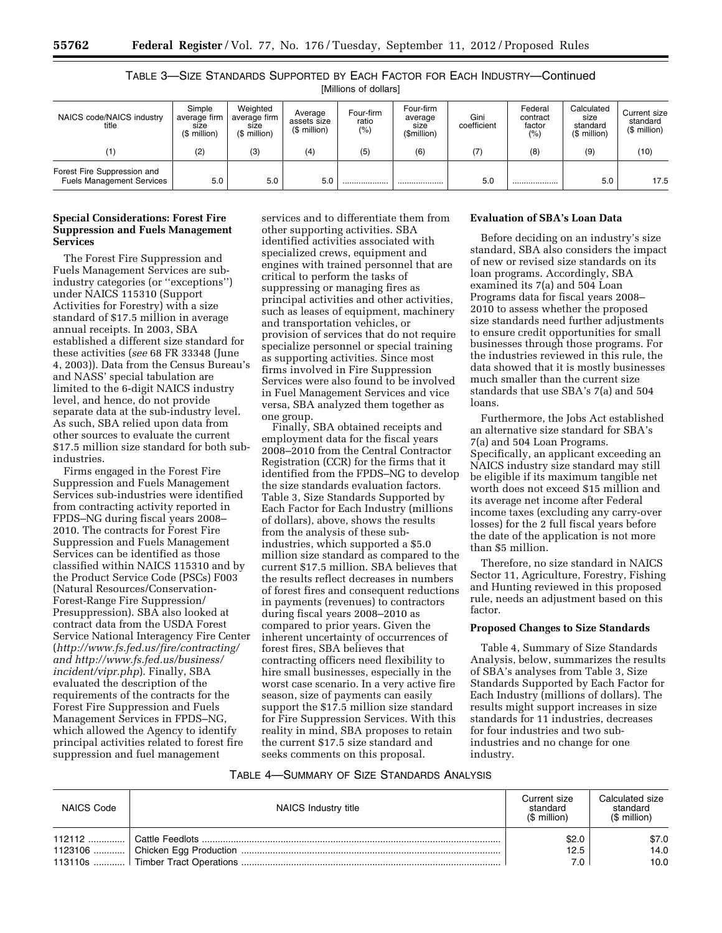TABLE 3—SIZE STANDARDS SUPPORTED BY EACH FACTOR FOR EACH INDUSTRY—Continued [Millions of dollars]

| NAICS code/NAICS industry<br>title                              | Simple<br>average firm<br>size<br>(\$ million) | Weighted<br>average firm<br>size<br>(\$ million) | Average<br>assets size<br>(\$ million) | Four-firm<br>ratio<br>$(\% )$ | Four-firm<br>average<br>size<br>(\$million) | Gini<br>coefficient | Federal<br>contract<br>factor<br>$(\% )$ | Calculated<br>size<br>standard<br>$$$ million) | Current size<br>standard<br>$($$ million $)$ |
|-----------------------------------------------------------------|------------------------------------------------|--------------------------------------------------|----------------------------------------|-------------------------------|---------------------------------------------|---------------------|------------------------------------------|------------------------------------------------|----------------------------------------------|
| $\left( 1\right)$                                               | (2)                                            | (3)                                              | (4)                                    | (5)                           | (6)                                         | (7)                 | (8)                                      | (9)                                            | (10)                                         |
| Forest Fire Suppression and<br><b>Fuels Management Services</b> | 5.0                                            | 5.0                                              | 5.0                                    |                               |                                             | 5.0                 |                                          | 5.0                                            | 17.5                                         |

# **Special Considerations: Forest Fire Suppression and Fuels Management Services**

The Forest Fire Suppression and Fuels Management Services are subindustry categories (or ''exceptions'') under NAICS 115310 (Support Activities for Forestry) with a size standard of \$17.5 million in average annual receipts. In 2003, SBA established a different size standard for these activities (*see* 68 FR 33348 (June 4, 2003)). Data from the Census Bureau's and NASS' special tabulation are limited to the 6-digit NAICS industry level, and hence, do not provide separate data at the sub-industry level. As such, SBA relied upon data from other sources to evaluate the current \$17.5 million size standard for both subindustries.

Firms engaged in the Forest Fire Suppression and Fuels Management Services sub-industries were identified from contracting activity reported in FPDS–NG during fiscal years 2008– 2010. The contracts for Forest Fire Suppression and Fuels Management Services can be identified as those classified within NAICS 115310 and by the Product Service Code (PSCs) F003 (Natural Resources/Conservation-Forest-Range Fire Suppression/ Presuppression). SBA also looked at contract data from the USDA Forest Service National Interagency Fire Center (*<http://www.fs.fed.us/fire/contracting/> and [http://www.fs.fed.us/business/](http://www.fs.fed.us/business/incident/vipr.php)  [incident/vipr.php](http://www.fs.fed.us/business/incident/vipr.php)*). Finally, SBA evaluated the description of the requirements of the contracts for the Forest Fire Suppression and Fuels Management Services in FPDS–NG, which allowed the Agency to identify principal activities related to forest fire suppression and fuel management

services and to differentiate them from other supporting activities. SBA identified activities associated with specialized crews, equipment and engines with trained personnel that are critical to perform the tasks of suppressing or managing fires as principal activities and other activities, such as leases of equipment, machinery and transportation vehicles, or provision of services that do not require specialize personnel or special training as supporting activities. Since most firms involved in Fire Suppression Services were also found to be involved in Fuel Management Services and vice versa, SBA analyzed them together as one group.

Finally, SBA obtained receipts and employment data for the fiscal years 2008–2010 from the Central Contractor Registration (CCR) for the firms that it identified from the FPDS–NG to develop the size standards evaluation factors. Table 3, Size Standards Supported by Each Factor for Each Industry (millions of dollars), above, shows the results from the analysis of these subindustries, which supported a \$5.0 million size standard as compared to the current \$17.5 million. SBA believes that the results reflect decreases in numbers of forest fires and consequent reductions in payments (revenues) to contractors during fiscal years 2008–2010 as compared to prior years. Given the inherent uncertainty of occurrences of forest fires, SBA believes that contracting officers need flexibility to hire small businesses, especially in the worst case scenario. In a very active fire season, size of payments can easily support the \$17.5 million size standard for Fire Suppression Services. With this reality in mind, SBA proposes to retain the current \$17.5 size standard and seeks comments on this proposal.

# **Evaluation of SBA's Loan Data**

Before deciding on an industry's size standard, SBA also considers the impact of new or revised size standards on its loan programs. Accordingly, SBA examined its 7(a) and 504 Loan Programs data for fiscal years 2008– 2010 to assess whether the proposed size standards need further adjustments to ensure credit opportunities for small businesses through those programs. For the industries reviewed in this rule, the data showed that it is mostly businesses much smaller than the current size standards that use SBA's 7(a) and 504 loans.

Furthermore, the Jobs Act established an alternative size standard for SBA's 7(a) and 504 Loan Programs. Specifically, an applicant exceeding an NAICS industry size standard may still be eligible if its maximum tangible net worth does not exceed \$15 million and its average net income after Federal income taxes (excluding any carry-over losses) for the 2 full fiscal years before the date of the application is not more than \$5 million.

Therefore, no size standard in NAICS Sector 11, Agriculture, Forestry, Fishing and Hunting reviewed in this proposed rule, needs an adjustment based on this factor.

## **Proposed Changes to Size Standards**

Table 4, Summary of Size Standards Analysis, below, summarizes the results of SBA's analyses from Table 3, Size Standards Supported by Each Factor for Each Industry (millions of dollars). The results might support increases in size standards for 11 industries, decreases for four industries and two subindustries and no change for one industry.

## TABLE 4—SUMMARY OF SIZE STANDARDS ANALYSIS

| <b>NAICS Code</b> | NAICS Industry title | Current size<br>standard<br>(\$ million) | Calculated size<br>standard<br>$$$ million) |
|-------------------|----------------------|------------------------------------------|---------------------------------------------|
|                   |                      | \$2.0                                    | \$7.0                                       |
|                   |                      | 12.5                                     | 14.0                                        |
|                   |                      | 7.0                                      | 10.0                                        |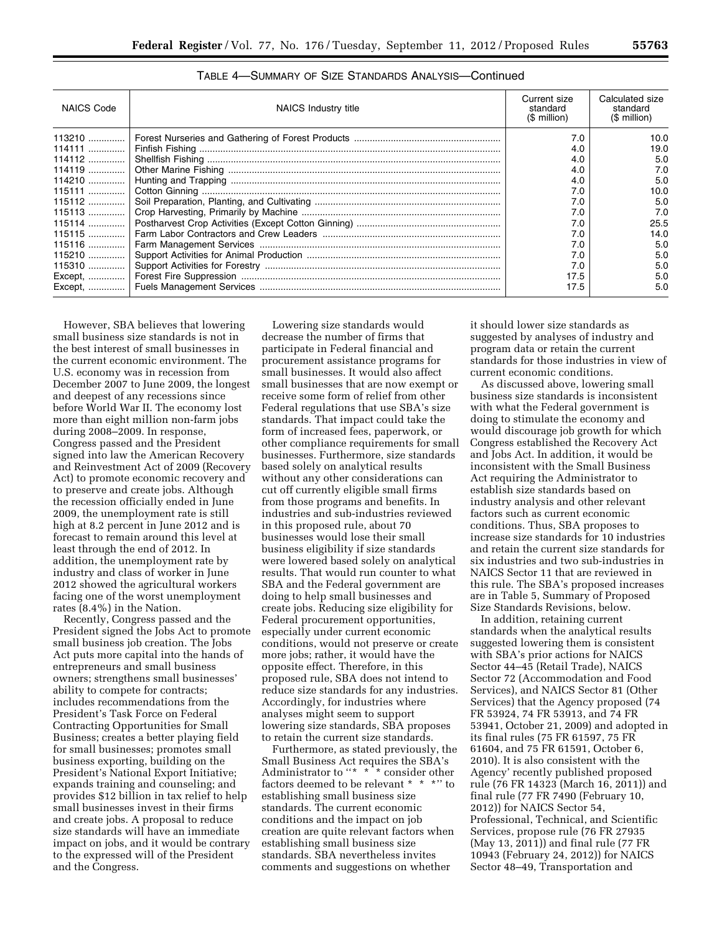| <b>NAICS Code</b> | NAICS Industry title | Current size<br>standard<br>$$$ million) | Calculated size<br>standard<br>$$$ million) |
|-------------------|----------------------|------------------------------------------|---------------------------------------------|
|                   |                      | 7.0                                      | 10.0                                        |
| 114111            |                      | 4.0                                      | 19.0                                        |
| 114112            |                      | 4.0                                      | 5.0                                         |
| 114119            |                      | 4.0                                      | 7.0                                         |
| 114210            |                      | 4.0                                      | 5.0                                         |
| 115111            |                      | 7.0                                      | 10.0                                        |
| 115112            |                      | 7.0                                      | 5.0                                         |
|                   |                      | 7.0                                      | 7.0                                         |
|                   |                      | 7.0                                      | 25.5                                        |
| 115115            |                      | 7.0                                      | 14.0                                        |
| 115116            |                      | 7.0                                      | 5.0                                         |
| 115210            |                      | 7.0                                      | 5.0                                         |
| 115310            |                      | 7.0                                      | 5.0                                         |
| Except,           |                      | 17.5                                     | 5.0                                         |
| Except,           |                      | 17.5                                     | 5.0                                         |

TABLE 4—SUMMARY OF SIZE STANDARDS ANALYSIS—Continued

However, SBA believes that lowering small business size standards is not in the best interest of small businesses in the current economic environment. The U.S. economy was in recession from December 2007 to June 2009, the longest and deepest of any recessions since before World War II. The economy lost more than eight million non-farm jobs during 2008–2009. In response, Congress passed and the President signed into law the American Recovery and Reinvestment Act of 2009 (Recovery Act) to promote economic recovery and to preserve and create jobs. Although the recession officially ended in June 2009, the unemployment rate is still high at 8.2 percent in June 2012 and is forecast to remain around this level at least through the end of 2012. In addition, the unemployment rate by industry and class of worker in June 2012 showed the agricultural workers facing one of the worst unemployment rates (8.4%) in the Nation.

Recently, Congress passed and the President signed the Jobs Act to promote small business job creation. The Jobs Act puts more capital into the hands of entrepreneurs and small business owners; strengthens small businesses' ability to compete for contracts; includes recommendations from the President's Task Force on Federal Contracting Opportunities for Small Business; creates a better playing field for small businesses; promotes small business exporting, building on the President's National Export Initiative; expands training and counseling; and provides \$12 billion in tax relief to help small businesses invest in their firms and create jobs. A proposal to reduce size standards will have an immediate impact on jobs, and it would be contrary to the expressed will of the President and the Congress.

Lowering size standards would decrease the number of firms that participate in Federal financial and procurement assistance programs for small businesses. It would also affect small businesses that are now exempt or receive some form of relief from other Federal regulations that use SBA's size standards. That impact could take the form of increased fees, paperwork, or other compliance requirements for small businesses. Furthermore, size standards based solely on analytical results without any other considerations can cut off currently eligible small firms from those programs and benefits. In industries and sub-industries reviewed in this proposed rule, about 70 businesses would lose their small business eligibility if size standards were lowered based solely on analytical results. That would run counter to what SBA and the Federal government are doing to help small businesses and create jobs. Reducing size eligibility for Federal procurement opportunities, especially under current economic conditions, would not preserve or create more jobs; rather, it would have the opposite effect. Therefore, in this proposed rule, SBA does not intend to reduce size standards for any industries. Accordingly, for industries where analyses might seem to support lowering size standards, SBA proposes to retain the current size standards.

Furthermore, as stated previously, the Small Business Act requires the SBA's Administrator to "\* \*<sup>\*</sup> consider other factors deemed to be relevant \* \* \*'' to establishing small business size standards. The current economic conditions and the impact on job creation are quite relevant factors when establishing small business size standards. SBA nevertheless invites comments and suggestions on whether

it should lower size standards as suggested by analyses of industry and program data or retain the current standards for those industries in view of current economic conditions.

As discussed above, lowering small business size standards is inconsistent with what the Federal government is doing to stimulate the economy and would discourage job growth for which Congress established the Recovery Act and Jobs Act. In addition, it would be inconsistent with the Small Business Act requiring the Administrator to establish size standards based on industry analysis and other relevant factors such as current economic conditions. Thus, SBA proposes to increase size standards for 10 industries and retain the current size standards for six industries and two sub-industries in NAICS Sector 11 that are reviewed in this rule. The SBA's proposed increases are in Table 5, Summary of Proposed Size Standards Revisions, below.

In addition, retaining current standards when the analytical results suggested lowering them is consistent with SBA's prior actions for NAICS Sector 44–45 (Retail Trade), NAICS Sector 72 (Accommodation and Food Services), and NAICS Sector 81 (Other Services) that the Agency proposed (74 FR 53924, 74 FR 53913, and 74 FR 53941, October 21, 2009) and adopted in its final rules (75 FR 61597, 75 FR 61604, and 75 FR 61591, October 6, 2010). It is also consistent with the Agency' recently published proposed rule (76 FR 14323 (March 16, 2011)) and final rule (77 FR 7490 (February 10, 2012)) for NAICS Sector 54, Professional, Technical, and Scientific Services, propose rule (76 FR 27935 (May 13, 2011)) and final rule (77 FR 10943 (February 24, 2012)) for NAICS Sector 48–49, Transportation and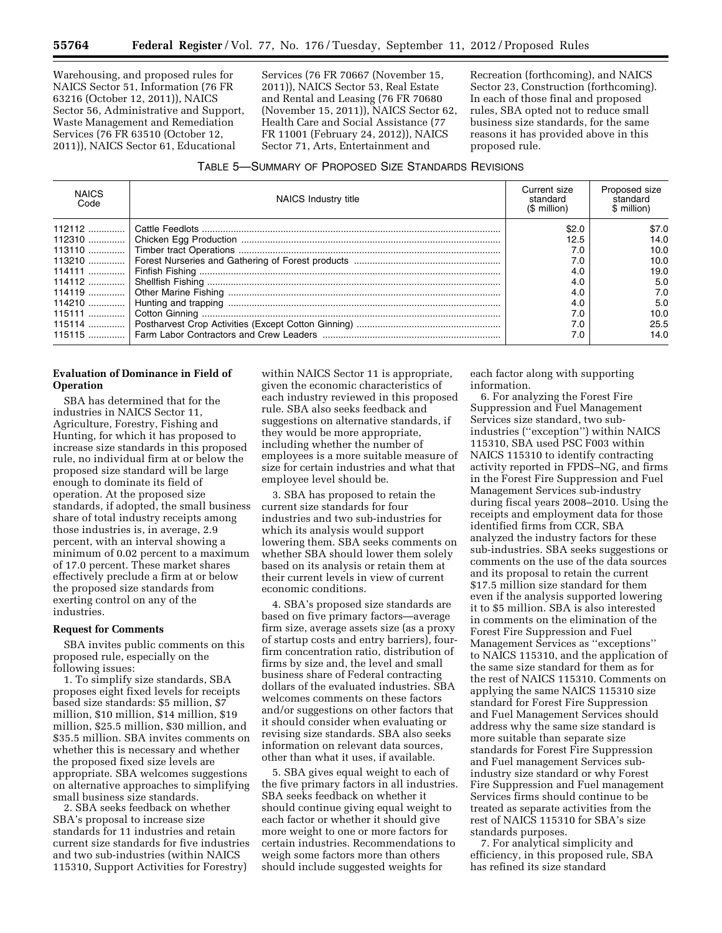Warehousing, and proposed rules for NAICS Sector 51, Information (76 FR 63216 (October 12, 2011)), NAICS Sector 56, Administrative and Support, Waste Management and Remediation Services (76 FR 63510 (October 12, 2011)), NAICS Sector 61, Educational

Services (76 FR 70667 (November 15, 2011)), NAICS Sector 53, Real Estate and Rental and Leasing (76 FR 70680 (November 15, 2011)), NAICS Sector 62, Health Care and Social Assistance (77 FR 11001 (February 24, 2012)), NAICS Sector 71, Arts, Entertainment and

Recreation (forthcoming), and NAICS Sector 23, Construction (forthcoming). In each of those final and proposed rules, SBA opted not to reduce small business size standards, for the same reasons it has provided above in this proposed rule.

| Table 5—Summary of Proposed Size Standards Revisions |
|------------------------------------------------------|
|------------------------------------------------------|

| <b>NAICS</b><br>Code | NAICS Industry title | Current size<br>standard<br>(\$ million) | Proposed size<br>standard<br>\$ million) |
|----------------------|----------------------|------------------------------------------|------------------------------------------|
|                      |                      | \$2.0                                    | \$7.0                                    |
|                      |                      | 12.5                                     | 14.0                                     |
|                      |                      | 7.0                                      | 10.0                                     |
|                      |                      | 7.0                                      | 10.0                                     |
| $114111$             |                      | 4.0                                      | 19.0                                     |
|                      |                      | 4.0                                      | 5.0                                      |
|                      |                      | 4.0                                      | 7.0                                      |
|                      |                      | 4.0                                      | 5.0                                      |
|                      |                      | 7.0                                      | 10.0                                     |
|                      |                      | 7.0                                      | 25.5                                     |
|                      |                      | 7.0                                      | 14.0                                     |

# **Evaluation of Dominance in Field of Operation**

SBA has determined that for the industries in NAICS Sector 11, Agriculture, Forestry, Fishing and Hunting, for which it has proposed to increase size standards in this proposed rule, no individual firm at or below the proposed size standard will be large enough to dominate its field of operation. At the proposed size standards, if adopted, the small business share of total industry receipts among those industries is, in average, 2.9 percent, with an interval showing a minimum of 0.02 percent to a maximum of 17.0 percent. These market shares effectively preclude a firm at or below the proposed size standards from exerting control on any of the industries.

#### **Request for Comments**

SBA invites public comments on this proposed rule, especially on the following issues:

1. To simplify size standards, SBA proposes eight fixed levels for receipts based size standards: \$5 million, \$7 million, \$10 million, \$14 million, \$19 million, \$25.5 million, \$30 million, and \$35.5 million. SBA invites comments on whether this is necessary and whether the proposed fixed size levels are appropriate. SBA welcomes suggestions on alternative approaches to simplifying small business size standards.

2. SBA seeks feedback on whether SBA's proposal to increase size standards for 11 industries and retain current size standards for five industries and two sub-industries (within NAICS 115310, Support Activities for Forestry)

within NAICS Sector 11 is appropriate, given the economic characteristics of each industry reviewed in this proposed rule. SBA also seeks feedback and suggestions on alternative standards, if they would be more appropriate, including whether the number of employees is a more suitable measure of size for certain industries and what that employee level should be.

3. SBA has proposed to retain the current size standards for four industries and two sub-industries for which its analysis would support lowering them. SBA seeks comments on whether SBA should lower them solely based on its analysis or retain them at their current levels in view of current economic conditions.

4. SBA's proposed size standards are based on five primary factors—average firm size, average assets size (as a proxy of startup costs and entry barriers), fourfirm concentration ratio, distribution of firms by size and, the level and small business share of Federal contracting dollars of the evaluated industries. SBA welcomes comments on these factors and/or suggestions on other factors that it should consider when evaluating or revising size standards. SBA also seeks information on relevant data sources, other than what it uses, if available.

5. SBA gives equal weight to each of the five primary factors in all industries. SBA seeks feedback on whether it should continue giving equal weight to each factor or whether it should give more weight to one or more factors for certain industries. Recommendations to weigh some factors more than others should include suggested weights for

each factor along with supporting information.

6. For analyzing the Forest Fire Suppression and Fuel Management Services size standard, two subindustries (''exception'') within NAICS 115310, SBA used PSC F003 within NAICS 115310 to identify contracting activity reported in FPDS–NG, and firms in the Forest Fire Suppression and Fuel Management Services sub-industry during fiscal years 2008–2010. Using the receipts and employment data for those identified firms from CCR, SBA analyzed the industry factors for these sub-industries. SBA seeks suggestions or comments on the use of the data sources and its proposal to retain the current \$17.5 million size standard for them even if the analysis supported lowering it to \$5 million. SBA is also interested in comments on the elimination of the Forest Fire Suppression and Fuel Management Services as ''exceptions'' to NAICS 115310, and the application of the same size standard for them as for the rest of NAICS 115310. Comments on applying the same NAICS 115310 size standard for Forest Fire Suppression and Fuel Management Services should address why the same size standard is more suitable than separate size standards for Forest Fire Suppression and Fuel management Services subindustry size standard or why Forest Fire Suppression and Fuel management Services firms should continue to be treated as separate activities from the rest of NAICS 115310 for SBA's size standards purposes.

7. For analytical simplicity and efficiency, in this proposed rule, SBA has refined its size standard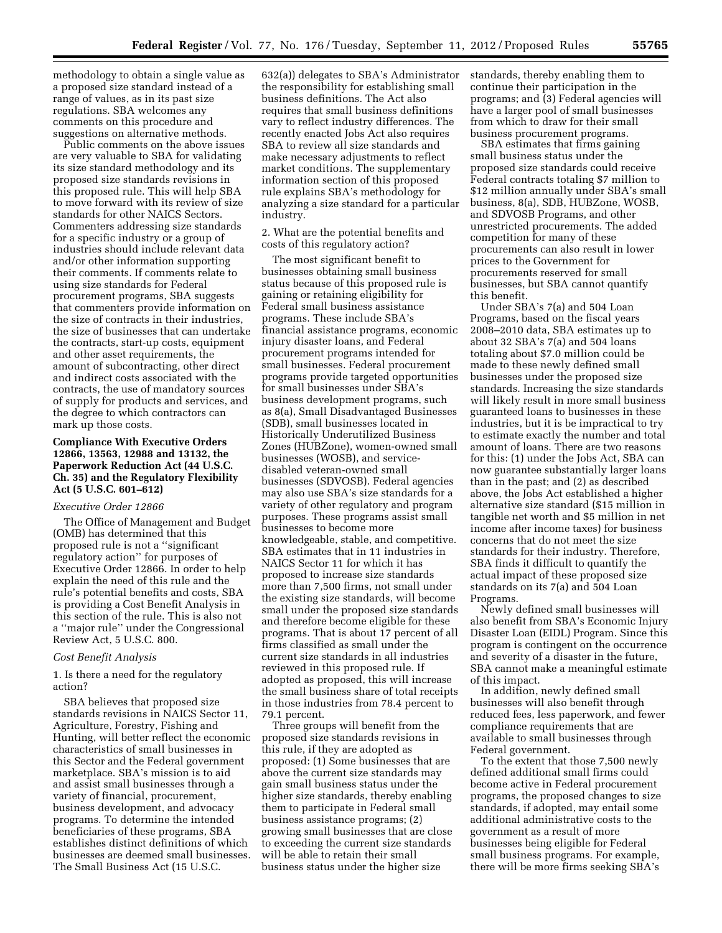methodology to obtain a single value as a proposed size standard instead of a range of values, as in its past size regulations. SBA welcomes any comments on this procedure and suggestions on alternative methods.

Public comments on the above issues are very valuable to SBA for validating its size standard methodology and its proposed size standards revisions in this proposed rule. This will help SBA to move forward with its review of size standards for other NAICS Sectors. Commenters addressing size standards for a specific industry or a group of industries should include relevant data and/or other information supporting their comments. If comments relate to using size standards for Federal procurement programs, SBA suggests that commenters provide information on the size of contracts in their industries, the size of businesses that can undertake the contracts, start-up costs, equipment and other asset requirements, the amount of subcontracting, other direct and indirect costs associated with the contracts, the use of mandatory sources of supply for products and services, and the degree to which contractors can mark up those costs.

# **Compliance With Executive Orders 12866, 13563, 12988 and 13132, the Paperwork Reduction Act (44 U.S.C. Ch. 35) and the Regulatory Flexibility Act (5 U.S.C. 601–612)**

## *Executive Order 12866*

The Office of Management and Budget (OMB) has determined that this proposed rule is not a ''significant regulatory action'' for purposes of Executive Order 12866. In order to help explain the need of this rule and the rule's potential benefits and costs, SBA is providing a Cost Benefit Analysis in this section of the rule. This is also not a ''major rule'' under the Congressional Review Act, 5 U.S.C. 800.

#### *Cost Benefit Analysis*

1. Is there a need for the regulatory action?

SBA believes that proposed size standards revisions in NAICS Sector 11, Agriculture, Forestry, Fishing and Hunting, will better reflect the economic characteristics of small businesses in this Sector and the Federal government marketplace. SBA's mission is to aid and assist small businesses through a variety of financial, procurement, business development, and advocacy programs. To determine the intended beneficiaries of these programs, SBA establishes distinct definitions of which businesses are deemed small businesses. The Small Business Act (15 U.S.C.

632(a)) delegates to SBA's Administrator the responsibility for establishing small business definitions. The Act also requires that small business definitions vary to reflect industry differences. The recently enacted Jobs Act also requires SBA to review all size standards and make necessary adjustments to reflect market conditions. The supplementary information section of this proposed rule explains SBA's methodology for analyzing a size standard for a particular industry.

2. What are the potential benefits and costs of this regulatory action?

The most significant benefit to businesses obtaining small business status because of this proposed rule is gaining or retaining eligibility for Federal small business assistance programs. These include SBA's financial assistance programs, economic injury disaster loans, and Federal procurement programs intended for small businesses. Federal procurement programs provide targeted opportunities for small businesses under SBA's business development programs, such as 8(a), Small Disadvantaged Businesses (SDB), small businesses located in Historically Underutilized Business Zones (HUBZone), women-owned small businesses (WOSB), and servicedisabled veteran-owned small businesses (SDVOSB). Federal agencies may also use SBA's size standards for a variety of other regulatory and program purposes. These programs assist small businesses to become more knowledgeable, stable, and competitive. SBA estimates that in 11 industries in NAICS Sector 11 for which it has proposed to increase size standards more than 7,500 firms, not small under the existing size standards, will become small under the proposed size standards and therefore become eligible for these programs. That is about 17 percent of all firms classified as small under the current size standards in all industries reviewed in this proposed rule. If adopted as proposed, this will increase the small business share of total receipts in those industries from 78.4 percent to 79.1 percent.

Three groups will benefit from the proposed size standards revisions in this rule, if they are adopted as proposed: (1) Some businesses that are above the current size standards may gain small business status under the higher size standards, thereby enabling them to participate in Federal small business assistance programs; (2) growing small businesses that are close to exceeding the current size standards will be able to retain their small business status under the higher size

standards, thereby enabling them to continue their participation in the programs; and (3) Federal agencies will have a larger pool of small businesses from which to draw for their small business procurement programs.

SBA estimates that firms gaining small business status under the proposed size standards could receive Federal contracts totaling \$7 million to \$12 million annually under SBA's small business, 8(a), SDB, HUBZone, WOSB, and SDVOSB Programs, and other unrestricted procurements. The added competition for many of these procurements can also result in lower prices to the Government for procurements reserved for small businesses, but SBA cannot quantify this benefit.

Under SBA's 7(a) and 504 Loan Programs, based on the fiscal years 2008–2010 data, SBA estimates up to about 32 SBA's 7(a) and 504 loans totaling about \$7.0 million could be made to these newly defined small businesses under the proposed size standards. Increasing the size standards will likely result in more small business guaranteed loans to businesses in these industries, but it is be impractical to try to estimate exactly the number and total amount of loans. There are two reasons for this: (1) under the Jobs Act, SBA can now guarantee substantially larger loans than in the past; and (2) as described above, the Jobs Act established a higher alternative size standard (\$15 million in tangible net worth and \$5 million in net income after income taxes) for business concerns that do not meet the size standards for their industry. Therefore, SBA finds it difficult to quantify the actual impact of these proposed size standards on its 7(a) and 504 Loan Programs.

Newly defined small businesses will also benefit from SBA's Economic Injury Disaster Loan (EIDL) Program. Since this program is contingent on the occurrence and severity of a disaster in the future, SBA cannot make a meaningful estimate of this impact.

In addition, newly defined small businesses will also benefit through reduced fees, less paperwork, and fewer compliance requirements that are available to small businesses through Federal government.

To the extent that those 7,500 newly defined additional small firms could become active in Federal procurement programs, the proposed changes to size standards, if adopted, may entail some additional administrative costs to the government as a result of more businesses being eligible for Federal small business programs. For example, there will be more firms seeking SBA's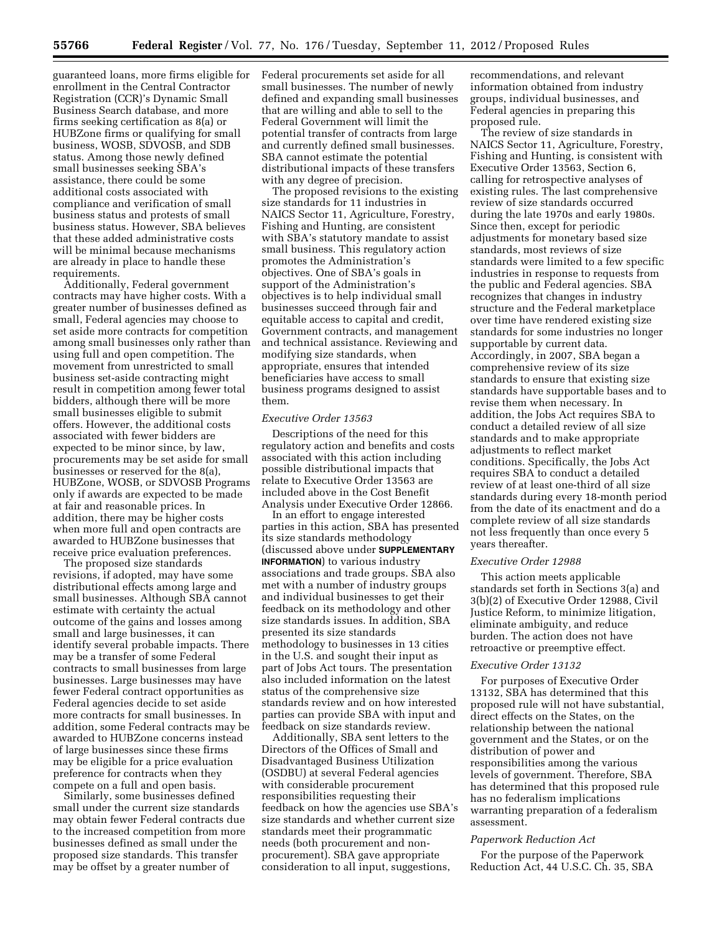guaranteed loans, more firms eligible for enrollment in the Central Contractor Registration (CCR)'s Dynamic Small Business Search database, and more firms seeking certification as 8(a) or HUBZone firms or qualifying for small business, WOSB, SDVOSB, and SDB status. Among those newly defined small businesses seeking SBA's assistance, there could be some additional costs associated with compliance and verification of small business status and protests of small business status. However, SBA believes that these added administrative costs will be minimal because mechanisms are already in place to handle these requirements.

Additionally, Federal government contracts may have higher costs. With a greater number of businesses defined as small, Federal agencies may choose to set aside more contracts for competition among small businesses only rather than using full and open competition. The movement from unrestricted to small business set-aside contracting might result in competition among fewer total bidders, although there will be more small businesses eligible to submit offers. However, the additional costs associated with fewer bidders are expected to be minor since, by law, procurements may be set aside for small businesses or reserved for the 8(a), HUBZone, WOSB, or SDVOSB Programs only if awards are expected to be made at fair and reasonable prices. In addition, there may be higher costs when more full and open contracts are awarded to HUBZone businesses that receive price evaluation preferences.

The proposed size standards revisions, if adopted, may have some distributional effects among large and small businesses. Although SBA cannot estimate with certainty the actual outcome of the gains and losses among small and large businesses, it can identify several probable impacts. There may be a transfer of some Federal contracts to small businesses from large businesses. Large businesses may have fewer Federal contract opportunities as Federal agencies decide to set aside more contracts for small businesses. In addition, some Federal contracts may be awarded to HUBZone concerns instead of large businesses since these firms may be eligible for a price evaluation preference for contracts when they compete on a full and open basis.

Similarly, some businesses defined small under the current size standards may obtain fewer Federal contracts due to the increased competition from more businesses defined as small under the proposed size standards. This transfer may be offset by a greater number of

Federal procurements set aside for all small businesses. The number of newly defined and expanding small businesses that are willing and able to sell to the Federal Government will limit the potential transfer of contracts from large and currently defined small businesses. SBA cannot estimate the potential distributional impacts of these transfers with any degree of precision.

The proposed revisions to the existing size standards for 11 industries in NAICS Sector 11, Agriculture, Forestry, Fishing and Hunting, are consistent with SBA's statutory mandate to assist small business. This regulatory action promotes the Administration's objectives. One of SBA's goals in support of the Administration's objectives is to help individual small businesses succeed through fair and equitable access to capital and credit, Government contracts, and management and technical assistance. Reviewing and modifying size standards, when appropriate, ensures that intended beneficiaries have access to small business programs designed to assist them.

#### *Executive Order 13563*

Descriptions of the need for this regulatory action and benefits and costs associated with this action including possible distributional impacts that relate to Executive Order 13563 are included above in the Cost Benefit Analysis under Executive Order 12866.

In an effort to engage interested parties in this action, SBA has presented its size standards methodology (discussed above under **SUPPLEMENTARY INFORMATION**) to various industry associations and trade groups. SBA also met with a number of industry groups and individual businesses to get their feedback on its methodology and other size standards issues. In addition, SBA presented its size standards methodology to businesses in 13 cities in the U.S. and sought their input as part of Jobs Act tours. The presentation also included information on the latest status of the comprehensive size standards review and on how interested parties can provide SBA with input and feedback on size standards review.

Additionally, SBA sent letters to the Directors of the Offices of Small and Disadvantaged Business Utilization (OSDBU) at several Federal agencies with considerable procurement responsibilities requesting their feedback on how the agencies use SBA's size standards and whether current size standards meet their programmatic needs (both procurement and nonprocurement). SBA gave appropriate consideration to all input, suggestions,

recommendations, and relevant information obtained from industry groups, individual businesses, and Federal agencies in preparing this proposed rule.

The review of size standards in NAICS Sector 11, Agriculture, Forestry, Fishing and Hunting, is consistent with Executive Order 13563, Section 6, calling for retrospective analyses of existing rules. The last comprehensive review of size standards occurred during the late 1970s and early 1980s. Since then, except for periodic adjustments for monetary based size standards, most reviews of size standards were limited to a few specific industries in response to requests from the public and Federal agencies. SBA recognizes that changes in industry structure and the Federal marketplace over time have rendered existing size standards for some industries no longer supportable by current data. Accordingly, in 2007, SBA began a comprehensive review of its size standards to ensure that existing size standards have supportable bases and to revise them when necessary. In addition, the Jobs Act requires SBA to conduct a detailed review of all size standards and to make appropriate adjustments to reflect market conditions. Specifically, the Jobs Act requires SBA to conduct a detailed review of at least one-third of all size standards during every 18-month period from the date of its enactment and do a complete review of all size standards not less frequently than once every 5 years thereafter.

#### *Executive Order 12988*

This action meets applicable standards set forth in Sections 3(a) and 3(b)(2) of Executive Order 12988, Civil Justice Reform, to minimize litigation, eliminate ambiguity, and reduce burden. The action does not have retroactive or preemptive effect.

#### *Executive Order 13132*

For purposes of Executive Order 13132, SBA has determined that this proposed rule will not have substantial, direct effects on the States, on the relationship between the national government and the States, or on the distribution of power and responsibilities among the various levels of government. Therefore, SBA has determined that this proposed rule has no federalism implications warranting preparation of a federalism assessment.

## *Paperwork Reduction Act*

For the purpose of the Paperwork Reduction Act, 44 U.S.C. Ch. 35, SBA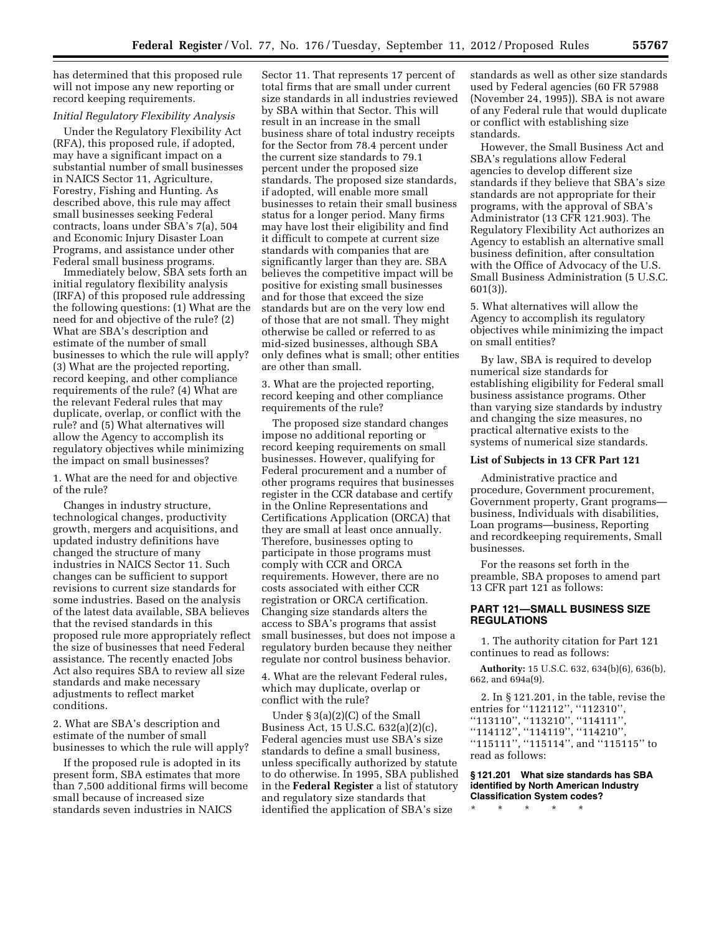has determined that this proposed rule will not impose any new reporting or record keeping requirements.

# *Initial Regulatory Flexibility Analysis*

Under the Regulatory Flexibility Act (RFA), this proposed rule, if adopted, may have a significant impact on a substantial number of small businesses in NAICS Sector 11, Agriculture, Forestry, Fishing and Hunting. As described above, this rule may affect small businesses seeking Federal contracts, loans under SBA's 7(a), 504 and Economic Injury Disaster Loan Programs, and assistance under other Federal small business programs.

Immediately below, SBA sets forth an initial regulatory flexibility analysis (IRFA) of this proposed rule addressing the following questions: (1) What are the need for and objective of the rule? (2) What are SBA's description and estimate of the number of small businesses to which the rule will apply? (3) What are the projected reporting, record keeping, and other compliance requirements of the rule? (4) What are the relevant Federal rules that may duplicate, overlap, or conflict with the rule? and (5) What alternatives will allow the Agency to accomplish its regulatory objectives while minimizing the impact on small businesses?

1. What are the need for and objective of the rule?

Changes in industry structure, technological changes, productivity growth, mergers and acquisitions, and updated industry definitions have changed the structure of many industries in NAICS Sector 11. Such changes can be sufficient to support revisions to current size standards for some industries. Based on the analysis of the latest data available, SBA believes that the revised standards in this proposed rule more appropriately reflect the size of businesses that need Federal assistance. The recently enacted Jobs Act also requires SBA to review all size standards and make necessary adjustments to reflect market conditions.

2. What are SBA's description and estimate of the number of small businesses to which the rule will apply?

If the proposed rule is adopted in its present form, SBA estimates that more than 7,500 additional firms will become small because of increased size standards seven industries in NAICS

Sector 11. That represents 17 percent of total firms that are small under current size standards in all industries reviewed by SBA within that Sector. This will result in an increase in the small business share of total industry receipts for the Sector from 78.4 percent under the current size standards to 79.1 percent under the proposed size standards. The proposed size standards, if adopted, will enable more small businesses to retain their small business status for a longer period. Many firms may have lost their eligibility and find it difficult to compete at current size standards with companies that are significantly larger than they are. SBA believes the competitive impact will be positive for existing small businesses and for those that exceed the size standards but are on the very low end of those that are not small. They might otherwise be called or referred to as mid-sized businesses, although SBA only defines what is small; other entities are other than small.

3. What are the projected reporting, record keeping and other compliance requirements of the rule?

The proposed size standard changes impose no additional reporting or record keeping requirements on small businesses. However, qualifying for Federal procurement and a number of other programs requires that businesses register in the CCR database and certify in the Online Representations and Certifications Application (ORCA) that they are small at least once annually. Therefore, businesses opting to participate in those programs must comply with CCR and ORCA requirements. However, there are no costs associated with either CCR registration or ORCA certification. Changing size standards alters the access to SBA's programs that assist small businesses, but does not impose a regulatory burden because they neither regulate nor control business behavior.

4. What are the relevant Federal rules, which may duplicate, overlap or conflict with the rule?

Under § 3(a)(2)(C) of the Small Business Act, 15 U.S.C. 632(a)(2)(c), Federal agencies must use SBA's size standards to define a small business, unless specifically authorized by statute to do otherwise. In 1995, SBA published in the **Federal Register** a list of statutory and regulatory size standards that identified the application of SBA's size

standards as well as other size standards used by Federal agencies (60 FR 57988 (November 24, 1995)). SBA is not aware of any Federal rule that would duplicate or conflict with establishing size standards.

However, the Small Business Act and SBA's regulations allow Federal agencies to develop different size standards if they believe that SBA's size standards are not appropriate for their programs, with the approval of SBA's Administrator (13 CFR 121.903). The Regulatory Flexibility Act authorizes an Agency to establish an alternative small business definition, after consultation with the Office of Advocacy of the U.S. Small Business Administration (5 U.S.C. 601(3)).

5. What alternatives will allow the Agency to accomplish its regulatory objectives while minimizing the impact on small entities?

By law, SBA is required to develop numerical size standards for establishing eligibility for Federal small business assistance programs. Other than varying size standards by industry and changing the size measures, no practical alternative exists to the systems of numerical size standards.

## **List of Subjects in 13 CFR Part 121**

Administrative practice and procedure, Government procurement, Government property, Grant programs business, Individuals with disabilities, Loan programs—business, Reporting and recordkeeping requirements, Small businesses.

For the reasons set forth in the preamble, SBA proposes to amend part 13 CFR part 121 as follows:

# **PART 121—SMALL BUSINESS SIZE REGULATIONS**

1. The authority citation for Part 121 continues to read as follows:

**Authority:** 15 U.S.C. 632, 634(b)(6), 636(b), 662, and 694a(9).

2. In § 121.201, in the table, revise the entries for ''112112'', ''112310'', ''113110'', ''113210'', ''114111'', ''114112'', ''114119'', ''114210'', ''115111'', ''115114'', and ''115115'' to read as follows:

**§ 121.201 What size standards has SBA identified by North American Industry Classification System codes?** 

\* \* \* \* \*